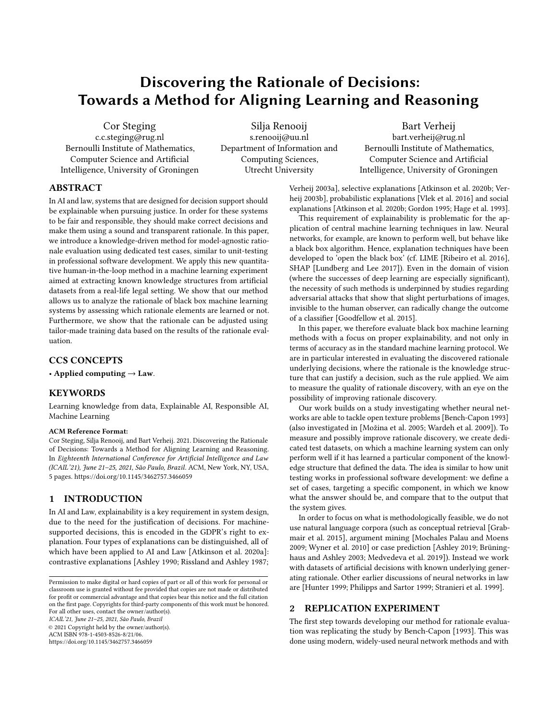# Discovering the Rationale of Decisions: Towards a Method for Aligning Learning and Reasoning

Cor Steging c.c.steging@rug.nl Bernoulli Institute of Mathematics, Computer Science and Artificial Intelligence, University of Groningen

Silja Renooij s.renooij@uu.nl Department of Information and Computing Sciences, Utrecht University

Bart Verheij bart.verheij@rug.nl Bernoulli Institute of Mathematics, Computer Science and Artificial Intelligence, University of Groningen

# ABSTRACT

In AI and law, systems that are designed for decision support should be explainable when pursuing justice. In order for these systems to be fair and responsible, they should make correct decisions and make them using a sound and transparent rationale. In this paper, we introduce a knowledge-driven method for model-agnostic rationale evaluation using dedicated test cases, similar to unit-testing in professional software development. We apply this new quantitative human-in-the-loop method in a machine learning experiment aimed at extracting known knowledge structures from artificial datasets from a real-life legal setting. We show that our method allows us to analyze the rationale of black box machine learning systems by assessing which rationale elements are learned or not. Furthermore, we show that the rationale can be adjusted using tailor-made training data based on the results of the rationale evaluation.

# CCS CONCEPTS

• Applied computing  $\rightarrow$  Law.

# KEYWORDS

Learning knowledge from data, Explainable AI, Responsible AI, Machine Learning

#### ACM Reference Format:

Cor Steging, Silja Renooij, and Bart Verheij. 2021. Discovering the Rationale of Decisions: Towards a Method for Aligning Learning and Reasoning. In Eighteenth International Conference for Artificial Intelligence and Law (ICAIL'21), June 21–25, 2021, São Paulo, Brazil. ACM, New York, NY, USA, [5](#page-4-0) pages.<https://doi.org/10.1145/3462757.3466059>

# 1 INTRODUCTION

In AI and Law, explainability is a key requirement in system design, due to the need for the justification of decisions. For machinesupported decisions, this is encoded in the GDPR's right to explanation. Four types of explanations can be distinguished, all of which have been applied to AI and Law [\[Atkinson et al.](#page-4-1) [2020a\]](#page-4-1): contrastive explanations [\[Ashley 1990;](#page-4-2) [Rissland and Ashley 1987;](#page-4-3)

ICAIL'21, June 21–25, 2021, São Paulo, Brazil

© 2021 Copyright held by the owner/author(s).

ACM ISBN 978-1-4503-8526-8/21/06. <https://doi.org/10.1145/3462757.3466059> [Verheij 2003a\]](#page-4-4), selective explanations [\[Atkinson et al.](#page-4-5) [2020b;](#page-4-5) [Ver](#page-4-6)[heij 2003b\]](#page-4-6), probabilistic explanations [\[Vlek et al.](#page-4-7) [2016\]](#page-4-7) and social explanations [\[Atkinson et al.](#page-4-5) [2020b;](#page-4-5) [Gordon 1995;](#page-4-8) [Hage et al.](#page-4-9) [1993\]](#page-4-9).

This requirement of explainability is problematic for the application of central machine learning techniques in law. Neural networks, for example, are known to perform well, but behave like a black box algorithm. Hence, explanation techniques have been developed to 'open the black box' (cf. LIME [\[Ribeiro et al.](#page-4-10) [2016\]](#page-4-10), SHAP [\[Lundberg and Lee 2017\]](#page-4-11)). Even in the domain of vision (where the successes of deep learning are especially significant), the necessity of such methods is underpinned by studies regarding adversarial attacks that show that slight perturbations of images, invisible to the human observer, can radically change the outcome of a classifier [\[Goodfellow et al. 2015\]](#page-4-12).

In this paper, we therefore evaluate black box machine learning methods with a focus on proper explainability, and not only in terms of accuracy as in the standard machine learning protocol. We are in particular interested in evaluating the discovered rationale underlying decisions, where the rationale is the knowledge structure that can justify a decision, such as the rule applied. We aim to measure the quality of rationale discovery, with an eye on the possibility of improving rationale discovery.

Our work builds on a study investigating whether neural networks are able to tackle open texture problems [\[Bench-Capon 1993\]](#page-4-13) (also investigated in [\[Možina et al.](#page-4-14) [2005;](#page-4-14) [Wardeh et al.](#page-4-15) [2009\]](#page-4-15)). To measure and possibly improve rationale discovery, we create dedicated test datasets, on which a machine learning system can only perform well if it has learned a particular component of the knowledge structure that defined the data. The idea is similar to how unit testing works in professional software development: we define a set of cases, targeting a specific component, in which we know what the answer should be, and compare that to the output that the system gives.

In order to focus on what is methodologically feasible, we do not use natural language corpora (such as conceptual retrieval [\[Grab](#page-4-16)[mair et al.](#page-4-16) [2015\]](#page-4-16), argument mining [\[Mochales Palau and Moens](#page-4-17) [2009;](#page-4-17) [Wyner et al.](#page-4-18) [2010\]](#page-4-18) or case prediction [\[Ashley 2019;](#page-4-19) [Brüning](#page-4-20)[haus and Ashley 2003;](#page-4-20) [Medvedeva et al.](#page-4-21) [2019\]](#page-4-21)). Instead we work with datasets of artificial decisions with known underlying generating rationale. Other earlier discussions of neural networks in law are [\[Hunter 1999;](#page-4-22) [Philipps and Sartor 1999;](#page-4-23) [Stranieri et al. 1999\]](#page-4-24).

# 2 REPLICATION EXPERIMENT

The first step towards developing our method for rationale evaluation was replicating the study by [Bench-Capon](#page-4-13) [\[1993\]](#page-4-13). This was done using modern, widely-used neural network methods and with

Permission to make digital or hard copies of part or all of this work for personal or classroom use is granted without fee provided that copies are not made or distributed for profit or commercial advantage and that copies bear this notice and the full citation on the first page. Copyrights for third-party components of this work must be honored. For all other uses, contact the owner/author(s).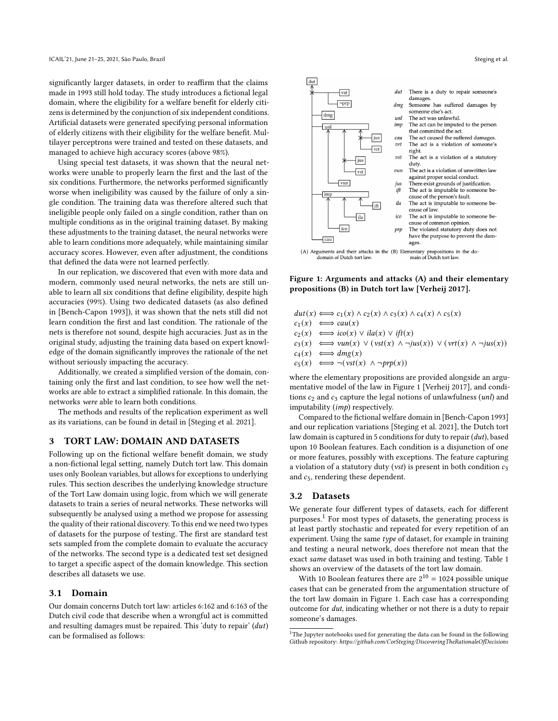significantly larger datasets, in order to reaffirm that the claims made in 1993 still hold today. The study introduces a fictional legal domain, where the eligibility for a welfare benefit for elderly citizens is determined by the conjunction of six independent conditions. Artificial datasets were generated specifying personal information of elderly citizens with their eligibility for the welfare benefit. Multilayer perceptrons were trained and tested on these datasets, and managed to achieve high accuracy scores (above 98%).

Using special test datasets, it was shown that the neural networks were unable to properly learn the first and the last of the six conditions. Furthermore, the networks performed significantly worse when ineligibility was caused by the failure of only a single condition. The training data was therefore altered such that ineligible people only failed on a single condition, rather than on multiple conditions as in the original training dataset. By making these adjustments to the training dataset, the neural networks were able to learn conditions more adequately, while maintaining similar accuracy scores. However, even after adjustment, the conditions that defined the data were not learned perfectly.

In our replication, we discovered that even with more data and modern, commonly used neural networks, the nets are still unable to learn all six conditions that define eligibility, despite high accuracies (99%). Using two dedicated datasets (as also defined in [\[Bench-Capon 1993\]](#page-4-13)), it was shown that the nets still did not learn condition the first and last condition. The rationale of the nets is therefore not sound, despite high accuracies. Just as in the original study, adjusting the training data based on expert knowledge of the domain significantly improves the rationale of the net without seriously impacting the accuracy.

Additionally, we created a simplified version of the domain, containing only the first and last condition, to see how well the networks are able to extract a simplified rationale. In this domain, the networks were able to learn both conditions.

The methods and results of the replication experiment as well as its variations, can be found in detail in [\[Steging et al. 2021\]](#page-4-25).

### 3 TORT LAW: DOMAIN AND DATASETS

Following up on the fictional welfare benefit domain, we study a non-fictional legal setting, namely Dutch tort law. This domain uses only Boolean variables, but allows for exceptions to underlying rules. This section describes the underlying knowledge structure of the Tort Law domain using logic, from which we will generate datasets to train a series of neural networks. These networks will subsequently be analysed using a method we propose for assessing the quality of their rational discovery. To this end we need two types of datasets for the purpose of testing. The first are standard test sets sampled from the complete domain to evaluate the accuracy of the networks. The second type is a dedicated test set designed to target a specific aspect of the domain knowledge. This section describes all datasets we use.

#### 3.1 Domain

Our domain concerns Dutch tort law: articles 6:162 and 6:163 of the Dutch civil code that describe when a wrongful act is committed and resulting damages must be repaired. This 'duty to repair'  $(dut)$ can be formalised as follows:

<span id="page-1-0"></span>

(A) Arguments and their attacks in the (B) Elementary propositions in the do-domain of Dutch tort law.  $\hfill$   $\hfill$   $\hfill$   $\hfill$   $\hfill$   $\hfill$   $\hfill$   $\hfill$   $\hfill$   $\hfill$   $\hfill$   $\hfill$   $\hfill$   $\hfill$   $\hfill$   $\hfill$   $\hfill$   $\hfill$   $\hfill$   $\hfill$ 

Figure 1: Arguments and attacks (A) and their elementary propositions (B) in Dutch tort law [\[Verheij 2017\]](#page-4-26).

 $dut(x) \Longleftrightarrow c_1(x) \wedge c_2(x) \wedge c_3(x) \wedge c_4(x) \wedge c_5(x)$  $c_1(x) \iff cau(x)$  $c_2(x) \iff ico(x) \lor ila(x) \lor ift(x)$  $c_3(x) \iff \text{vun}(x) \lor (\text{vst}(x) \land \neg \text{jus}(x)) \lor (\text{vrt}(x) \land \neg \text{jus}(x))$  $c_4(x) \iff dmg(x)$  $c_5(x) \iff \neg(vst(x) \land \neg prp(x))$ 

where the elementary propositions are provided alongside an argumentative model of the law in Figure [1](#page-1-0) [\[Verheij 2017\]](#page-4-26), and conditions  $c_2$  and  $c_3$  capture the legal notions of unlawfulness (*unl*) and imputability (imp) respectively.

Compared to the fictional welfare domain in [\[Bench-Capon 1993\]](#page-4-13) and our replication variations [\[Steging et al.](#page-4-25) [2021\]](#page-4-25), the Dutch tort law domain is captured in 5 conditions for duty to repair (dut), based upon 10 Boolean features. Each condition is a disjunction of one or more features, possibly with exceptions. The feature capturing a violation of a statutory duty (vst) is present in both condition  $c_3$ and  $c_5$ , rendering these dependent.

## 3.2 Datasets

We generate four different types of datasets, each for different purposes.<sup>[1](#page-1-1)</sup> For most types of datasets, the generating process is at least partly stochastic and repeated for every repetition of an experiment. Using the same type of dataset, for example in training and testing a neural network, does therefore not mean that the exact same dataset was used in both training and testing. Table [1](#page-2-0) shows an overview of the datasets of the tort law domain.

With 10 Boolean features there are  $2^{10} = 1024$  possible unique cases that can be generated from the argumentation structure of the tort law domain in Figure [1.](#page-1-0) Each case has a corresponding outcome for dut, indicating whether or not there is a duty to repair someone's damages.

<span id="page-1-1"></span> $^{\rm 1}{\rm The}$  Jupyter notebooks used for generating the data can be found in the following Github repository: https://github.com/CorSteging/DiscoveringTheRationaleOfDecisions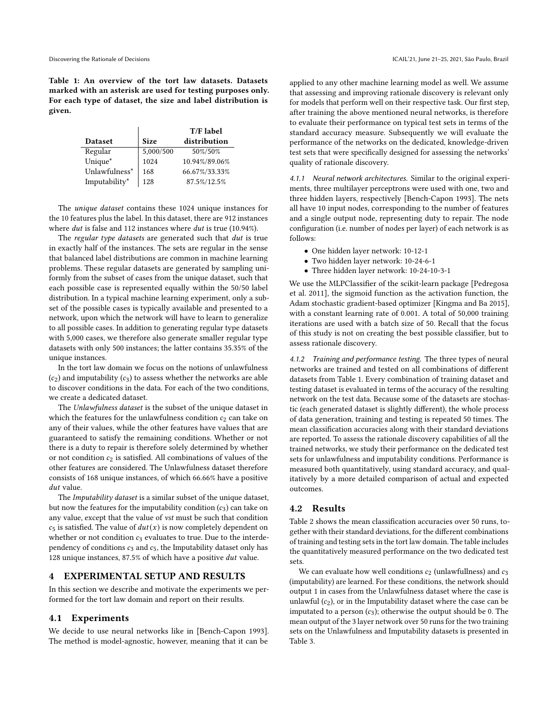<span id="page-2-0"></span>Table 1: An overview of the tort law datasets. Datasets marked with an asterisk are used for testing purposes only. For each type of dataset, the size and label distribution is given.

|                |             | T/F label     |
|----------------|-------------|---------------|
| <b>Dataset</b> | <b>Size</b> | distribution  |
| Regular        | 5,000/500   | 50%/50%       |
| Unique*        | 1024        | 10.94%/89.06% |
| Unlawfulness*  | 168         | 66.67%/33.33% |
| Imputability*  | 128         | 87.5%/12.5%   |

The unique dataset contains these 1024 unique instances for the 10 features plus the label. In this dataset, there are 912 instances where *dut* is false and 112 instances where *dut* is true (10.94%).

The regular type datasets are generated such that dut is true in exactly half of the instances. The sets are regular in the sense that balanced label distributions are common in machine learning problems. These regular datasets are generated by sampling uniformly from the subset of cases from the unique dataset, such that each possible case is represented equally within the 50/50 label distribution. In a typical machine learning experiment, only a subset of the possible cases is typically available and presented to a network, upon which the network will have to learn to generalize to all possible cases. In addition to generating regular type datasets with 5,000 cases, we therefore also generate smaller regular type datasets with only 500 instances; the latter contains 35.35% of the unique instances.

In the tort law domain we focus on the notions of unlawfulness  $(c_2)$  and imputability  $(c_3)$  to assess whether the networks are able to discover conditions in the data. For each of the two conditions, we create a dedicated dataset.

The Unlawfulness dataset is the subset of the unique dataset in which the features for the unlawfulness condition  $c_2$  can take on any of their values, while the other features have values that are guaranteed to satisfy the remaining conditions. Whether or not there is a duty to repair is therefore solely determined by whether or not condition  $c_2$  is satisfied. All combinations of values of the other features are considered. The Unlawfulness dataset therefore consists of 168 unique instances, of which 66.66% have a positive  $dut$  value.

The Imputability dataset is a similar subset of the unique dataset, but now the features for the imputability condition  $(c_3)$  can take on any value, except that the value of vst must be such that condition  $c_5$  is satisfied. The value of  $du(t(x))$  is now completely dependent on whether or not condition  $c_3$  evaluates to true. Due to the interdependency of conditions  $c_3$  and  $c_5$ , the Imputability dataset only has 128 unique instances,  $87.5\%$  of which have a positive  $dut$  value.

## **EXPERIMENTAL SETUP AND RESULTS**

In this section we describe and motivate the experiments we performed for the tort law domain and report on their results.

# 4.1 Experiments

We decide to use neural networks like in [\[Bench-Capon 1993\]](#page-4-13). The method is model-agnostic, however, meaning that it can be applied to any other machine learning model as well. We assume that assessing and improving rationale discovery is relevant only for models that perform well on their respective task. Our first step, after training the above mentioned neural networks, is therefore to evaluate their performance on typical test sets in terms of the standard accuracy measure. Subsequently we will evaluate the performance of the networks on the dedicated, knowledge-driven test sets that were specifically designed for assessing the networks' quality of rationale discovery.

4.1.1 Neural network architectures. Similar to the original experiments, three multilayer perceptrons were used with one, two and three hidden layers, respectively [\[Bench-Capon 1993\]](#page-4-13). The nets all have 10 input nodes, corresponding to the number of features and a single output node, representing duty to repair. The node configuration (i.e. number of nodes per layer) of each network is as follows:

- One hidden layer network: 10-12-1
- Two hidden layer network: 10-24-6-1
- Three hidden layer network: 10-24-10-3-1

We use the MLPClassifier of the scikit-learn package [\[Pedregosa](#page-4-27) [et al.](#page-4-27) [2011\]](#page-4-27), the sigmoid function as the activation function, the Adam stochastic gradient-based optimizer [\[Kingma and Ba 2015\]](#page-4-28), with a constant learning rate of 0.001. A total of 50,000 training iterations are used with a batch size of 50. Recall that the focus of this study is not on creating the best possible classifier, but to assess rationale discovery.

4.1.2 Training and performance testing. The three types of neural networks are trained and tested on all combinations of different datasets from Table [1.](#page-2-0) Every combination of training dataset and testing dataset is evaluated in terms of the accuracy of the resulting network on the test data. Because some of the datasets are stochastic (each generated dataset is slightly different), the whole process of data generation, training and testing is repeated 50 times. The mean classification accuracies along with their standard deviations are reported. To assess the rationale discovery capabilities of all the trained networks, we study their performance on the dedicated test sets for unlawfulness and imputability conditions. Performance is measured both quantitatively, using standard accuracy, and qualitatively by a more detailed comparison of actual and expected outcomes.

# 4.2 Results

Table [2](#page-3-0) shows the mean classification accuracies over 50 runs, together with their standard deviations, for the different combinations of training and testing sets in the tort law domain. The table includes the quantitatively measured performance on the two dedicated test sets.

We can evaluate how well conditions  $c_2$  (unlawfullness) and  $c_3$ (imputability) are learned. For these conditions, the network should output 1 in cases from the Unlawfulness dataset where the case is unlawful  $(c_2)$ , or in the Imputability dataset where the case can be imputated to a person  $(c_3)$ ; otherwise the output should be 0. The mean output of the 3 layer network over 50 runs for the two training sets on the Unlawfulness and Imputability datasets is presented in Table [3.](#page-3-1)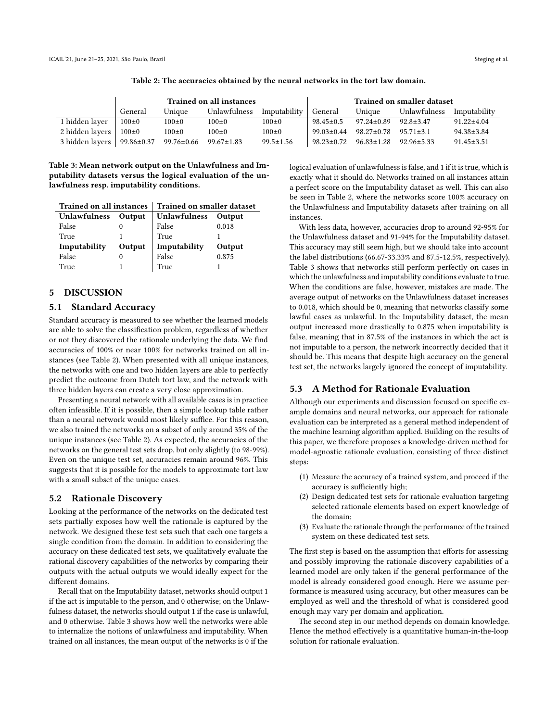<span id="page-3-0"></span>

|                 | <b>Trained on all instances</b> |                  |                  | <b>Trained on smaller dataset</b> |                  |                  |                 |                  |
|-----------------|---------------------------------|------------------|------------------|-----------------------------------|------------------|------------------|-----------------|------------------|
|                 | General                         | Unique           | Unlawfulness     | Imputability                      | General          | Unique           | Unlawfulness    | Imputability     |
| 1 hidden layer  | $100\pm0$                       | $100\pm0$        | $100\pm0$        | $100\pm0$                         | $98.45 \pm 0.5$  | $97.24 \pm 0.89$ | $92.8 \pm 3.47$ | $91.22 \pm 4.04$ |
| 2 hidden layers | $100\pm0$                       | $100 \pm 0$      | $100 \pm 0$      | $100\pm0$                         | $99.03 \pm 0.44$ | $98.27 \pm 0.78$ | $95.71 \pm 3.1$ | 94.38±3.84       |
| 3 hidden layers | 99.86±0.37                      | $99.76 \pm 0.66$ | $99.67 \pm 1.83$ | $99.5 \pm 1.56$                   | 98.23±0.72       | $96.83 \pm 1.28$ | $92.96 + 5.33$  | $91.45 \pm 3.51$ |

Table 2: The accuracies obtained by the neural networks in the tort law domain.

<span id="page-3-1"></span>Table 3: Mean network output on the Unlawfulness and Imputability datasets versus the logical evaluation of the unlawfulness resp. imputability conditions.

| <b>Trained on all instances</b> |        | Trained on smaller dataset |        |  |  |
|---------------------------------|--------|----------------------------|--------|--|--|
| Unlawfulness Output             |        | Unlawfulness               | Output |  |  |
| False                           | 0      | False<br>True              | 0.018  |  |  |
| True                            |        |                            |        |  |  |
| Imputability                    | Output | Imputability               | Output |  |  |
| False                           | 0      | False                      | 0.875  |  |  |
| True                            |        | True                       |        |  |  |

# 5 DISCUSSION

#### 5.1 Standard Accuracy

Standard accuracy is measured to see whether the learned models are able to solve the classification problem, regardless of whether or not they discovered the rationale underlying the data. We find accuracies of 100% or near 100% for networks trained on all instances (see Table [2\)](#page-3-0). When presented with all unique instances, the networks with one and two hidden layers are able to perfectly predict the outcome from Dutch tort law, and the network with three hidden layers can create a very close approximation.

Presenting a neural network with all available cases is in practice often infeasible. If it is possible, then a simple lookup table rather than a neural network would most likely suffice. For this reason, we also trained the networks on a subset of only around 35% of the unique instances (see Table [2\)](#page-3-0). As expected, the accuracies of the networks on the general test sets drop, but only slightly (to 98-99%). Even on the unique test set, accuracies remain around 96%. This suggests that it is possible for the models to approximate tort law with a small subset of the unique cases.

#### 5.2 Rationale Discovery

Looking at the performance of the networks on the dedicated test sets partially exposes how well the rationale is captured by the network. We designed these test sets such that each one targets a single condition from the domain. In addition to considering the accuracy on these dedicated test sets, we qualitatively evaluate the rational discovery capabilities of the networks by comparing their outputs with the actual outputs we would ideally expect for the different domains.

Recall that on the Imputability dataset, networks should output 1 if the act is imputable to the person, and 0 otherwise; on the Unlawfulness dataset, the networks should output 1 if the case is unlawful, and 0 otherwise. Table [3](#page-3-1) shows how well the networks were able to internalize the notions of unlawfulness and imputability. When trained on all instances, the mean output of the networks is 0 if the

logical evaluation of unlawfulness is false, and 1 if it is true, which is exactly what it should do. Networks trained on all instances attain a perfect score on the Imputability dataset as well. This can also be seen in Table [2,](#page-3-0) where the networks score 100% accuracy on the Unlawfulness and Imputability datasets after training on all instances.

With less data, however, accuracies drop to around 92-95% for the Unlawfulness dataset and 91-94% for the Imputability dataset. This accuracy may still seem high, but we should take into account the label distributions (66.67-33.33% and 87.5-12.5%, respectively). Table [3](#page-3-1) shows that networks still perform perfectly on cases in which the unlawfulness and imputability conditions evaluate to true. When the conditions are false, however, mistakes are made. The average output of networks on the Unlawfulness dataset increases to 0.018, which should be 0, meaning that networks classify some lawful cases as unlawful. In the Imputability dataset, the mean output increased more drastically to 0.875 when imputability is false, meaning that in 87.5% of the instances in which the act is not imputable to a person, the network incorrectly decided that it should be. This means that despite high accuracy on the general test set, the networks largely ignored the concept of imputability.

## 5.3 A Method for Rationale Evaluation

Although our experiments and discussion focused on specific example domains and neural networks, our approach for rationale evaluation can be interpreted as a general method independent of the machine learning algorithm applied. Building on the results of this paper, we therefore proposes a knowledge-driven method for model-agnostic rationale evaluation, consisting of three distinct steps:

- (1) Measure the accuracy of a trained system, and proceed if the accuracy is sufficiently high;
- (2) Design dedicated test sets for rationale evaluation targeting selected rationale elements based on expert knowledge of the domain;
- (3) Evaluate the rationale through the performance of the trained system on these dedicated test sets.

The first step is based on the assumption that efforts for assessing and possibly improving the rationale discovery capabilities of a learned model are only taken if the general performance of the model is already considered good enough. Here we assume performance is measured using accuracy, but other measures can be employed as well and the threshold of what is considered good enough may vary per domain and application.

The second step in our method depends on domain knowledge. Hence the method effectively is a quantitative human-in-the-loop solution for rationale evaluation.